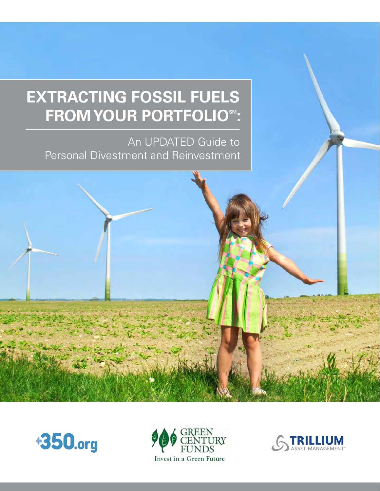# **EXTRACTING FOSSIL FUELS FROM YOUR PORTFOLIOSM:**

An UPDATED Guide to Personal Divestment and Reinvestment





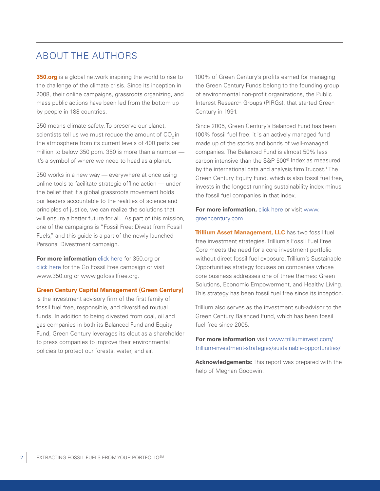## ABOUT THE AUTHORS

**[350.org](http://greencentury.com/?xb=http://350.org)** is a global network inspiring the world to rise to the challenge of the climate crisis. Since its inception in 2008, their online campaigns, grassroots organizing, and mass public actions have been led from the bottom up by people in 188 countries.

350 means climate safety. To preserve our planet, scientists tell us we must reduce the amount of CO<sub>2</sub> in the atmosphere from its current levels of 400 parts per million to below 350 ppm. 350 is more than a number it's a symbol of where we need to head as a planet.

350 works in a new way — everywhere at once using online tools to facilitate strategic offline action — under the belief that if a global grassroots movement holds our leaders accountable to the realities of science and principles of justice, we can realize the solutions that will ensure a better future for all. As part of this mission, one of the campaigns is "Fossil Free: Divest from Fossil Fuels," and this guide is a part of the newly launched Personal Divestment campaign.

**For more information** [click here](http://greencentury.com/?xb=http://www.350.org) for [350.org](http://greencentury.com/?xb=http://350.org) or [click here](http://greencentury.com/?xb=http://www.gofossilfree.org) for the Go Fossil Free campaign or visit [www.350.org](http://greencentury.com/?xb=http://www.350.org) or [www.gofossilfree.org](http://greencentury.com/?xb=http://www.gofossilfree.org).

#### **Green Century Capital Management (Green Century)**

is the investment advisory firm of the first family of fossil fuel free, responsible, and diversified mutual funds. In addition to being divested from coal, oil and gas companies in both its Balanced Fund and Equity Fund, Green Century leverages its clout as a shareholder to press companies to improve their environmental policies to protect our forests, water, and air.

100% of Green Century's profits earned for managing the Green Century Funds belong to the founding group of environmental non-profit organizations, the Public Interest Research Groups (PIRGs), that started Green Century in 1991.

Since 2005, Green Century's Balanced Fund has been 100% fossil fuel free; it is an actively managed fund made up of the stocks and bonds of well-managed companies. The Balanced Fund is almost 50% less carbon intensive than the S&P 500® Index as measured by the international data and analysis firm Trucost.<sup>1</sup> The Green Century Equity Fund, which is also fossil fuel free, invests in the longest running sustainability index minus the fossil fuel companies in that index.

#### **For more information, [click here](http://www.greencentury.com) or visit [www.](http://www.greencentury.com)** [greencentury.com](http://www.greencentury.com)

**Trillium Asset Management, LLC** has two fossil fuel free investment strategies. Trillium's Fossil Fuel Free Core meets the need for a core investment portfolio without direct fossil fuel exposure. Trillium's Sustainable Opportunities strategy focuses on companies whose core business addresses one of three themes: Green Solutions, Economic Empowerment, and Healthy [Living.](Living.This) [This](Living.This) strategy has been fossil fuel free since its inception.

Trillium also serves as the investment sub-advisor to the Green Century Balanced Fund, which has been fossil fuel free since 2005.

**For more information** visit [www.trilliuminvest.com/](http://greencentury.com/?xb=http://www.trilliuminvest.com/trillium-investment-strategies/sustainable-opportunities/) [trillium-investment-strategies/sustainable-opportunities/](http://greencentury.com/?xb=http://www.trilliuminvest.com/trillium-investment-strategies/sustainable-opportunities/)

**Acknowledgements:** This report was prepared with the help of Meghan Goodwin.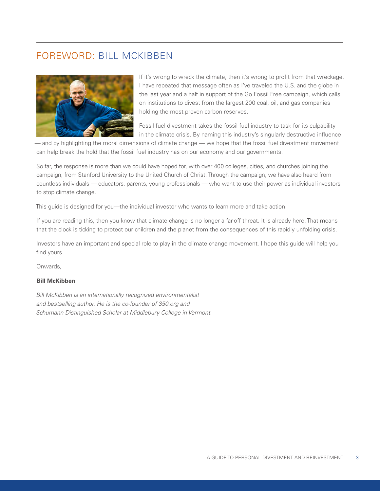## FOREWORD: BILL MCKIBBEN



If it's wrong to wreck the climate, then it's wrong to profit from that wreckage. I have repeated that message often as I've traveled the U.S. and the globe in the last year and a half in support of the Go Fossil Free campaign, which calls on institutions to divest from the largest 200 coal, oil, and gas companies holding the most proven carbon reserves.

Fossil fuel divestment takes the fossil fuel industry to task for its culpability in the climate crisis. By naming this industry's singularly destructive influence

— and by highlighting the moral dimensions of climate change — we hope that the fossil fuel divestment movement can help break the hold that the fossil fuel industry has on our economy and our governments.

So far, the response is more than we could have hoped for, with over 400 colleges, cities, and churches joining the campaign, from Stanford University to the United Church of Christ. Through the campaign, we have also heard from countless individuals — educators, parents, young professionals — who want to use their power as individual investors to stop climate change.

This guide is designed for you—the individual investor who wants to learn more and take action.

If you are reading this, then you know that climate change is no longer a far-off threat. It is already here. That means that the clock is ticking to protect our children and the planet from the consequences of this rapidly unfolding crisis.

Investors have an important and special role to play in the climate change movement. I hope this guide will help you find yours.

Onwards,

#### **Bill McKibben**

*Bill McKibben is an internationally recognized environmentalist and bestselling author. He is the co-founder of [350.org](http://greencentury.com/?xb=http://350.org) and Schumann Distinguished Scholar at Middlebury College in Vermont.*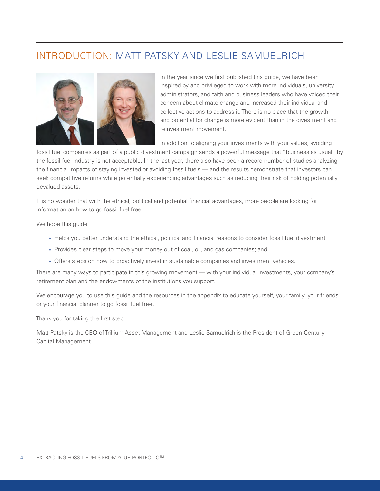## INTRODUCTION: MATT PATSKY AND LESLIE SAMUFI RICH



In the year since we first published this guide, we have been inspired by and privileged to work with more individuals, university administrators, and faith and business leaders who have voiced their concern about climate change and increased their individual and collective actions to address it. There is no place that the growth and potential for change is more evident than in the divestment and reinvestment movement.

In addition to aligning your investments with your values, avoiding

fossil fuel companies as part of a public divestment campaign sends a powerful message that "business as usual" by the fossil fuel industry is not acceptable. In the last year, there also have been a record number of studies analyzing the financial impacts of staying invested or avoiding fossil fuels — and the results demonstrate that investors can seek competitive returns while potentially experiencing advantages such as reducing their risk of holding potentially devalued assets.

It is no wonder that with the ethical, political and potential financial advantages, more people are looking for information on how to go fossil fuel free.

We hope this guide:

- » Helps you better understand the ethical, political and financial reasons to consider fossil fuel divestment
- » Provides clear steps to move your money out of coal, oil, and gas companies; and
- » Offers steps on how to proactively invest in sustainable companies and investment vehicles.

There are many ways to participate in this growing movement — with your individual investments, your company's retirement plan and the endowments of the institutions you support.

We encourage you to use this guide and the resources in the appendix to educate yourself, your family, your friends, or your financial planner to go fossil fuel free.

Thank you for taking the first step.

Matt Patsky is the CEO of Trillium Asset Management and Leslie Samuelrich is the President of Green Century Capital Management.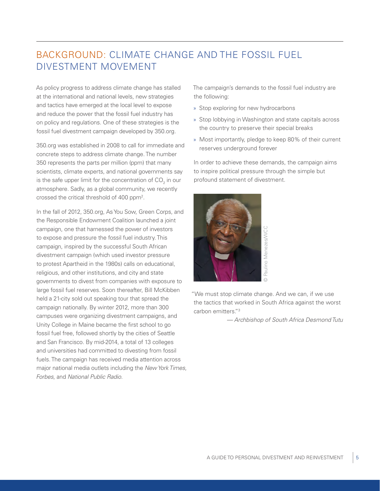## BACKGROUND: CLIMATE CHANGE AND THE FOSSIL FUEL DIVESTMENT MOVEMENT

As policy progress to address climate change has stalled at the international and national levels, new strategies and tactics have emerged at the local level to expose and reduce the power that the fossil fuel industry has on policy and regulations. One of these strategies is the fossil fuel divestment campaign developed by [350.org](http://greencentury.com/?xb=http://350.org).

[350.org](http://greencentury.com/?xb=http://350.org) was established in 2008 to call for immediate and concrete steps to address climate change. The number 350 represents the parts per million (ppm) that many scientists, climate experts, and national governments say is the safe upper limit for the concentration of CO<sub>2</sub> in our atmosphere. Sadly, as a global community, we recently crossed the critical threshold of 400 ppm<sup>2</sup>.

In the fall of 2012, [350.org](http://greencentury.com/?xb=http://350.org), As You Sow, Green Corps, and the Responsible Endowment Coalition launched a joint campaign, one that harnessed the power of investors to expose and pressure the fossil fuel industry. This campaign, inspired by the successful South African divestment campaign (which used investor pressure to protest Apartheid in the 1980s) calls on educational, religious, and other institutions, and city and state governments to divest from companies with exposure to large fossil fuel reserves. Soon thereafter, Bill McKibben held a 21-city sold out speaking tour that spread the campaign nationally. By winter 2012, more than 300 campuses were organizing divestment campaigns, and Unity College in Maine became the first school to go fossil fuel free, followed shortly by the cities of Seattle and San Francisco. By mid-2014, a total of 13 colleges and universities had committed to divesting from fossil fuels. The campaign has received media attention across major national media outlets including the *New York Times*, *Forbes*, and *National Public Radio*.

The campaign's demands to the fossil fuel industry are the following:

- » Stop exploring for new hydrocarbons
- » Stop lobbying in Washington and state capitals across the country to preserve their special breaks
- » Most importantly, pledge to keep 80% of their current reserves underground forever

In order to achieve these demands, the campaign aims to inspire political pressure through the simple but profound statement of divestment.



"We must stop climate change. And we can, if we use the tactics that worked in South Africa against the worst carbon emitters."3 **Example 2018**<br> **Example 2018**<br> **Disperse 2018**<br> **Dispersion South Africa against the worst**<br> **ers."**<sup>3</sup><br>
— Archbishop of South Africa Desmond Tutu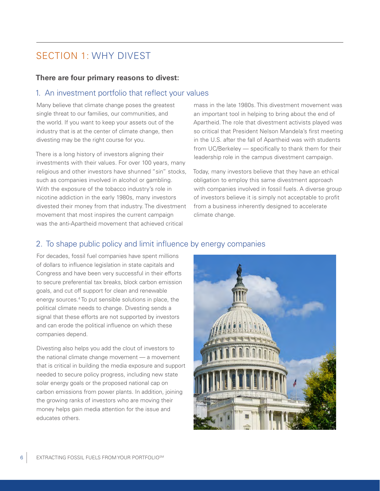## SECTION 1: WHY DIVEST

#### **There are four primary reasons to divest:**

### 1. An investment portfolio that reflect your values

Many believe that climate change poses the greatest single threat to our families, our communities, and the world. If you want to keep your assets out of the industry that is at the center of climate change, then divesting may be the right course for you.

There is a long history of investors aligning their investments with their values. For over 100 years, many religious and other investors have shunned "sin" stocks, such as companies involved in alcohol or gambling. With the exposure of the tobacco industry's role in nicotine addiction in the early 1980s, many investors divested their money from that industry. The divestment movement that most inspires the current campaign was the anti-Apartheid movement that achieved critical

mass in the late 1980s. This divestment movement was an important tool in helping to bring about the end of Apartheid. The role that divestment activists played was so critical that President Nelson Mandela's first meeting in the U.S. after the fall of Apartheid was with students from UC/Berkeley — specifically to thank them for their leadership role in the campus divestment campaign.

Today, many investors believe that they have an ethical obligation to employ this same divestment approach with companies involved in fossil fuels. A diverse group of investors believe it is simply not acceptable to profit from a business inherently designed to accelerate climate change.

### 2. To shape public policy and limit influence by energy companies

For decades, fossil fuel companies have spent millions of dollars to influence legislation in state capitals and Congress and have been very successful in their efforts to secure preferential tax breaks, block carbon emission goals, and cut off support for clean and renewable energy sources.<sup>4</sup> To put sensible solutions in place, the political climate needs to change. Divesting sends a signal that these efforts are not supported by investors and can erode the political influence on which these companies depend.

Divesting also helps you add the clout of investors to the national climate change movement — a movement that is critical in building the media exposure and support needed to secure policy progress, including new state solar energy goals or the proposed national cap on carbon emissions from power plants. In addition, joining the growing ranks of investors who are moving their money helps gain media attention for the issue and educates others.

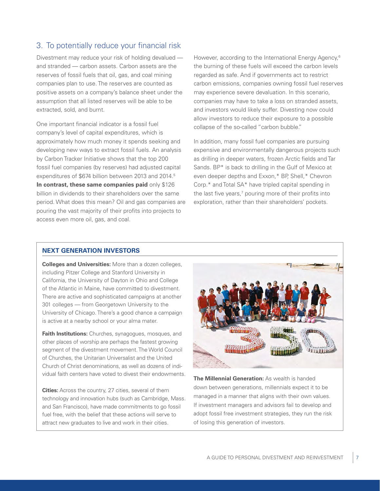### 3. To potentially reduce your financial risk

Divestment may reduce your risk of holding devalued and stranded — carbon assets. Carbon assets are the reserves of fossil fuels that oil, gas, and coal mining companies plan to use. The reserves are counted as positive assets on a company's balance sheet under the assumption that all listed reserves will be able to be extracted, sold, and burnt.

One important financial indicator is a fossil fuel company's level of capital expenditures, which is approximately how much money it spends seeking and developing new ways to extract fossil fuels. An analysis by Carbon Tracker Initiative shows that the top 200 fossil fuel companies (by reserves) had adjusted capital expenditures of \$674 billion between 2013 and 2014.<sup>5</sup> **In contrast, these same companies paid** only \$126 billion in dividends to their shareholders over the same period. What does this mean? Oil and gas companies are pouring the vast majority of their profits into projects to access even more oil, gas, and coal.

However, according to the International Energy Agency,<sup>6</sup> the burning of these fuels will exceed the carbon levels regarded as safe. And if governments act to restrict carbon emissions, companies owning fossil fuel reserves may experience severe devaluation. In this scenario, companies may have to take a loss on stranded assets, and investors would likely suffer. Divesting now could allow investors to reduce their exposure to a possible collapse of the so-called "carbon bubble."

In addition, many fossil fuel companies are pursuing expensive and environmentally dangerous projects such as drilling in deeper waters, frozen Arctic fields and Tar Sands. BP\* is back to drilling in the Gulf of Mexico at even deeper depths and Exxon,\* BP, Shell,\* Chevron Corp.\* and Total SA\* have tripled capital spending in the last five years,<sup>7</sup> pouring more of their profits into exploration, rather than their shareholders' pockets.

#### **NEXT GENERATION INVESTORS**

**Colleges and Universities:** More than a dozen colleges, including Pitzer College and Stanford University in California, the University of Dayton in Ohio and College of the Atlantic in Maine, have committed to divestment. There are active and sophisticated campaigns at another 301 colleges — from Georgetown University to the University of Chicago. There's a good chance a campaign is active at a nearby school or your alma mater.

**Faith Institutions:** Churches, synagogues, mosques, and other places of worship are perhaps the fastest growing segment of the divestment movement. The World Council of Churches, the Unitarian Universalist and the United Church of Christ denominations, as well as dozens of individual faith centers have voted to divest their endowments.

**Cities:** Across the country, 27 cities, several of them technology and innovation hubs (such as Cambridge, Mass. and San Francisco), have made commitments to go fossil fuel free, with the belief that these actions will serve to attract new graduates to live and work in their cities.



**The Millennial Generation:** As wealth is handed down between generations, millennials expect it to be managed in a manner that aligns with their own values. If investment managers and advisors fail to develop and adopt fossil free investment strategies, they run the risk of losing this generation of investors.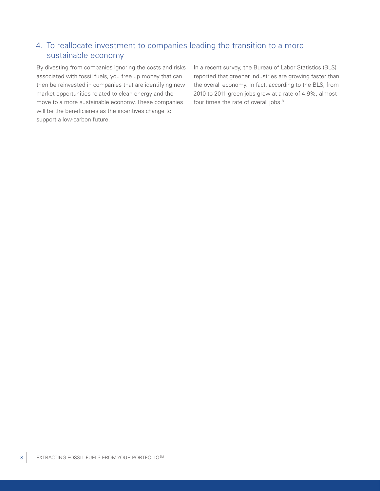### 4. To reallocate investment to companies leading the transition to a more sustainable economy

By divesting from companies ignoring the costs and risks associated with fossil fuels, you free up money that can then be reinvested in companies that are identifying new market opportunities related to clean energy and the move to a more sustainable economy. These companies will be the beneficiaries as the incentives change to support a low-carbon future.

In a recent survey, the Bureau of Labor Statistics (BLS) reported that greener industries are growing faster than the overall economy. In fact, according to the BLS, from 2010 to 2011 green jobs grew at a rate of 4.9%, almost four times the rate of overall jobs.<sup>8</sup>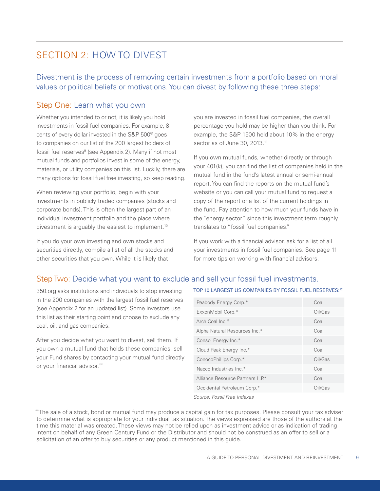## SECTION 2: HOW TO DIVEST

Divestment is the process of removing certain investments from a portfolio based on moral values or political beliefs or motivations. You can divest by following these three steps:

### Step One: Learn what you own

Whether you intended to or not, it is likely you hold investments in fossil fuel companies. For example, 8 cents of every dollar invested in the S&P 500® goes to companies on our list of the 200 largest holders of fossil fuel reserves<sup>9</sup> (see Appendix 2). Many if not most mutual funds and portfolios invest in some of the energy, materials, or utility companies on this list. Luckily, there are many options for fossil fuel free investing, so keep reading.

When reviewing your portfolio, begin with your investments in publicly traded companies (stocks and corporate bonds). This is often the largest part of an individual investment portfolio and the place where divestment is arguably the easiest to implement.10

If you do your own investing and own stocks and securities directly, compile a list of all the stocks and other securities that you own. While it is likely that

you are invested in fossil fuel companies, the overall percentage you hold may be higher than you think. For example, the S&P 1500 held about 10% in the energy sector as of June 30, 2013.<sup>11</sup>

If you own mutual funds, whether directly or through your 401(k), you can find the list of companies held in the mutual fund in the fund's latest annual or semi-annual report. You can find the reports on the mutual fund's website or you can call your mutual fund to request a copy of the report or a list of the current holdings in the fund. Pay attention to how much your funds have in the "energy sector" since this investment term roughly translates to "fossil fuel companies."

If you work with a financial advisor, ask for a list of all your investments in fossil fuel companies. See page 11 for more tips on working with financial advisors.

### Step Two: Decide what you want to exclude and sell your fossil fuel investments.

[350.org](http://greencentury.com/?xb=http://350.org) asks institutions and individuals to stop investing in the 200 companies with the largest fossil fuel reserves (see Appendix 2 for an updated list). Some investors use this list as their starting point and choose to exclude any coal, oil, and gas companies.

After you decide what you want to divest, sell them. If you own a mutual fund that holds these companies, sell your Fund shares by contacting your mutual fund directly or your financial advisor.\*\*

#### TOP 10 LARGEST US COMPANIES BY FOSSIL FUEL RESERVES:12

| Peabody Energy Corp.*            | Coal    |
|----------------------------------|---------|
| ExxonMobil Corp.*                | Oil/Gas |
| Arch Coal Inc.*                  | Coal    |
| Alpha Natural Resources Inc.*    | Coal    |
| Consol Energy Inc.*              | Coal    |
| Cloud Peak Energy Inc.*          | Coal    |
| ConocoPhillips Corp.*            | Oil/Gas |
| Nacco Industries Inc.*           | Coal    |
| Alliance Resource Partners L.P.* | Coal    |
| Occidental Petroleum Corp.*      | Oil/Gas |
| Causan Fasail Fran Indoves       |         |

*Source: Fossil Free Indexes*

<sup>\*\*</sup>The sale of a stock, bond or mutual fund may produce a capital gain for tax purposes. Please consult your tax adviser to determine what is appropriate for your individual tax situation. The views expressed are those of the authors at the time this material was created. These views may not be relied upon as investment advice or as indication of trading intent on behalf of any Green Century Fund or the Distributor and should not be construed as an offer to sell or a solicitation of an offer to buy securities or any product mentioned in this guide.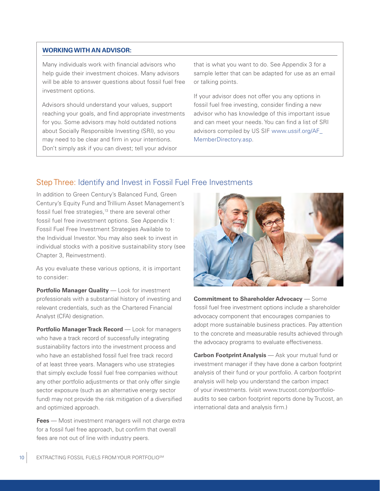#### **WORKING WITH AN ADVISOR:**

Many individuals work with financial advisors who help guide their investment choices. Many advisors will be able to answer questions about fossil fuel free investment options.

Advisors should understand your values, support reaching your goals, and find appropriate investments for you. Some advisors may hold outdated notions about Socially Responsible Investing (SRI), so you may need to be clear and firm in your intentions. Don't simply ask if you can divest; tell your advisor

that is what you want to do. See Appendix 3 for a sample letter that can be adapted for use as an email or talking points.

If your advisor does not offer you any options in fossil fuel free investing, consider finding a new advisor who has knowledge of this important issue and can meet your needs. You can find a list of SRI advisors compiled by US SIF [www.ussif.org/AF\\_](http://greencentury.com/?xb=http://www.ussif.org/AF_MemberDirectory.asp) [MemberDirectory.asp](http://greencentury.com/?xb=http://www.ussif.org/AF_MemberDirectory.asp).

### Step Three: Identify and Invest in Fossil Fuel Free Investments

In addition to [Green Century's Balanced Fund](http://greencentury.com/why-choose-green-century/fossil-fuel-free-investing/), Green Century's Equity Fund and Trillium Asset Management's fossil fuel free strategies,<sup>13</sup> there are several other fossil fuel free investment options. See Appendix 1: Fossil Fuel Free Investment Strategies Available to the Individual Investor. You may also seek to invest in individual stocks with a positive sustainability story (see Chapter 3, Reinvestment).

As you evaluate these various options, it is important to consider:

**Portfolio Manager Quality** — Look for investment professionals with a substantial history of investing and relevant credentials, such as the Chartered Financial Analyst (CFA) designation.

**Portfolio Manager Track Record** — Look for managers who have a track record of successfully integrating sustainability factors into the investment process and who have an established fossil fuel free track record of at least three years. Managers who use strategies that simply exclude fossil fuel free companies without any other portfolio adjustments or that only offer single sector exposure (such as an alternative energy sector fund) may not provide the risk mitigation of a diversified and optimized approach.

**Fees** — Most investment managers will not charge extra for a fossil fuel free approach, but confirm that overall fees are not out of line with industry peers.



**Commitment to Shareholder Advocacy** — Some fossil fuel free investment options include a shareholder advocacy component that encourages companies to adopt more sustainable business practices. Pay attention to the concrete and measurable results achieved through the advocacy programs to evaluate effectiveness.

**Carbon Footprint Analysis** — Ask your mutual fund or investment manager if they have done a carbon footprint analysis of their fund or your portfolio. A carbon footprint analysis will help you understand the carbon impact of your investments. (visit [www.trucost.com/portfolio](http://greencentury.com/?xb=http://www.trucost.com/portfolio-audits/)audits to see carbon footprint reports done by Trucost, an international data and analysis firm.)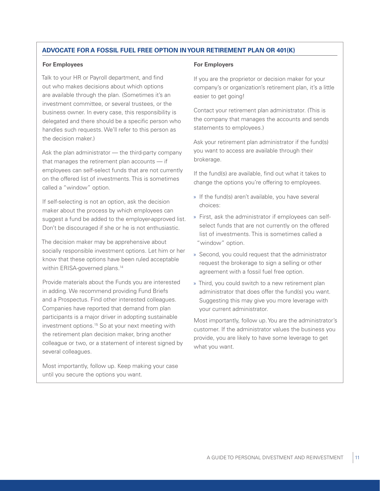#### **ADVOCATE FOR A FOSSIL FUEL FREE OPTION IN YOUR RETIREMENT PLAN OR 401(K)**

#### **For Employees**

Talk to your HR or Payroll department, and find out who makes decisions about which options are available through the plan. (Sometimes it's an investment committee, or several trustees, or the business owner. In every case, this responsibility is delegated and there should be a specific person who handles such requests. We'll refer to this person as the decision maker.)

Ask the plan administrator — the third-party company that manages the retirement plan accounts — if employees can self-select funds that are not currently on the offered list of investments. This is sometimes called a "window" option.

If self-selecting is not an option, ask the decision maker about the process by which employees can suggest a fund be added to the employer-approved list. Don't be discouraged if she or he is not enthusiastic.

The decision maker may be apprehensive about socially responsible investment options. Let him or her know that these options have been ruled acceptable within ERISA-governed plans.<sup>14</sup>

Provide materials about the Funds you are interested in adding. We recommend providing Fund Briefs and a Prospectus. Find other interested colleagues. Companies have reported that demand from plan participants is a major driver in adopting sustainable investment options.15 So at your next meeting with the retirement plan decision maker, bring another colleague or two, or a statement of interest signed by several colleagues.

Most importantly, follow up. Keep making your case until you secure the options you want.

#### **For Employers**

If you are the proprietor or decision maker for your company's or organization's retirement plan, it's a little easier to get going!

Contact your retirement plan administrator. (This is the company that manages the accounts and sends statements to employees.)

Ask your retirement plan administrator if the fund(s) you want to access are available through their brokerage.

If the fund(s) are available, find out what it takes to change the options you're offering to employees.

- » If the fund(s) aren't available, you have several choices:
- » First, ask the administrator if employees can selfselect funds that are not currently on the offered list of investments. This is sometimes called a "window" option.
- » Second, you could request that the administrator request the brokerage to sign a selling or other agreement with a fossil fuel free option.
- » Third, you could switch to a new retirement plan administrator that does offer the fund(s) you want. Suggesting this may give you more leverage with your current administrator.

Most importantly, follow up. You are the administrator's customer. If the administrator values the business you provide, you are likely to have some leverage to get what you want.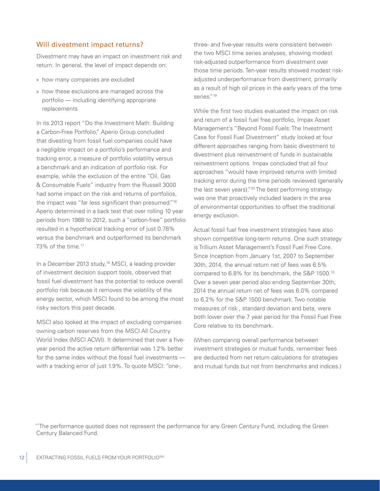#### Will divestment impact returns?

Divestment may have an impact on investment risk and return. In general, the level of impact depends on:

- » how many companies are excluded
- » how these exclusions are managed across the portfolio — including identifying appropriate replacements

In its 2013 report "Do the Investment Math: Building a Carbon-Free Portfolio," Aperio Group concluded that divesting from fossil fuel companies could have a negligible impact on a portfolio's performance and tracking error, a measure of portfolio volatility versus a benchmark and an indication of portfolio risk. For example, while the exclusion of the entire "Oil, Gas & Consumable Fuels" industry from the Russell 3000 had some impact on the risk and returns of portfolios, the impact was "far less significant than presumed."16 Aperio determined in a back test that over rolling 10 year periods from 1988 to 2012, such a "carbon-free" portfolio resulted in a hypothetical tracking error of just 0.78% versus the benchmark and outperformed its benchmark 73% of the time.17

In a December 2013 study,<sup>18</sup> MSCI, a leading provider of investment decision support tools, observed that fossil fuel divestment has the potential to reduce overall portfolio risk because it removes the volatility of the energy sector, which MSCI found to be among the most risky sectors this past decade.

MSCI also looked at the impact of excluding companies owning carbon reserves from the MSCI All Country World Index (MSCI ACWI). It determined that over a fiveyear period the active return differential was 1.2% better for the same index without the fossil fuel investments with a tracking error of just 1.9%. To quote MSCI: "one-,

three- and five-year results were consistent between the two MSCI time series analyses, showing modest risk-adjusted outperformance from divestment over those time periods. Ten-year results showed modest riskadjusted underperformance from divestment, primarily as a result of high oil prices in the early years of the time series."<sup>19</sup>

While the first two studies evaluated the impact on risk and return of a fossil fuel free portfolio, Impax Asset Management's "Beyond Fossil Fuels: The Investment Case for Fossil Fuel Divestment" study looked at four different approaches ranging from basic divestment to divestment plus reinvestment of funds in sustainable reinvestment options. Impax concluded that all four approaches "would have improved returns with limited tracking error during the time periods reviewed (generally the last seven years)."20 The best performing strategy was one that proactively included leaders in the area of environmental opportunities to offset the traditional energy exclusion.

Actual fossil fuel free investment strategies have also shown competitive long-term returns. One such strategy is Trillium Asset Management's Fossil Fuel Free Core. Since Inception from January 1st, 2007 to September 30th, 2014, the annual return net of fees was 6.5% compared to 6.8% for its benchmark, the S&P 1500.13 Over a seven year period also ending September 30th, 2014 the annual return net of fees was 6.0% compared to 6.2% for the S&P 1500 benchmark. Two notable measures of risk , standard deviation and beta, were both lower over the 7 year period for the Fossil Fuel Free Core relative to its benchmark.

(When comparing overall performance between investment strategies or mutual funds, remember fees are deducted from net return calculations for strategies and mutual funds but not from benchmarks and indices.)

\*\*The performance quoted does not represent the performance for any Green Century Fund, including the Green Century Balanced Fund.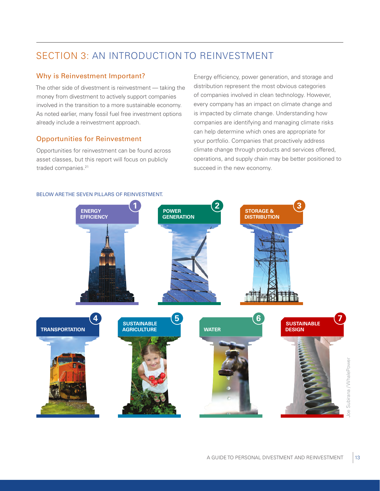## SECTION 3: AN INTRODUCTION TO REINVESTMENT

#### Why is Reinvestment Important?

The other side of divestment is reinvestment — taking the money from divestment to actively support companies involved in the transition to a more sustainable economy. As noted earlier, many fossil fuel free investment options already include a reinvestment approach.

#### Opportunities for Reinvestment

Opportunities for reinvestment can be found across asset classes, but this report will focus on publicly traded companies.<sup>21</sup>

Energy efficiency, power generation, and storage and distribution represent the most obvious categories of companies involved in clean technology. However, every company has an impact on climate change and is impacted by climate change. Understanding how companies are identifying and managing climate risks can help determine which ones are appropriate for your portfolio. Companies that proactively address climate change through products and services offered, operations, and supply chain may be better positioned to succeed in the new economy.



#### BELOW ARE THE SEVEN PILLARS OF REINVESTMENT.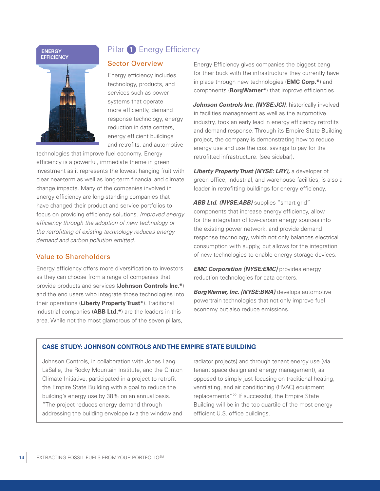#### **ENERGY EFFICIENCY**



### Pillar **1** Energy Efficiency

#### Sector Overview

Energy efficiency includes technology, products, and services such as power systems that operate more efficiently, demand response technology, energy reduction in data centers, energy efficient buildings and retrofits, and automotive

technologies that improve fuel economy. Energy efficiency is a powerful, immediate theme in green investment as it represents the lowest hanging fruit with clear near-term as well as long-term financial and climate change impacts. Many of the companies involved in energy efficiency are long-standing companies that have changed their product and service portfolios to focus on providing efficiency solutions. *Improved energy efficiency through the adoption of new technology or the retrofitting of existing technology reduces energy demand and carbon pollution emitted.*

#### Value to Shareholders

Energy efficiency offers more diversification to investors as they can choose from a range of companies that provide products and services (**Johnson Controls Inc.\***) and the end users who integrate those technologies into their operations (**Liberty Property Trust\***). Traditional industrial companies (**ABB Ltd.\***) are the leaders in this area. While not the most glamorous of the seven pillars,

Energy Efficiency gives companies the biggest bang for their buck with the infrastructure they currently have in place through new technologies (**EMC Corp.\***) and components (**BorgWarner\***) that improve efficiencies.

**Johnson Controls Inc. (NYSE:JCI)**, historically involved in facilities management as well as the automotive industry, took an early lead in energy efficiency retrofits and demand response. Through its Empire State Building project, the company is demonstrating how to reduce energy use and use the cost savings to pay for the retrofitted infrastructure. (see sidebar).

*Liberty Property Trust (NYSE: LRY),* a developer of green office, industrial, and warehouse facilities, is also a leader in retrofitting buildings for energy efficiency.

ABB Ltd. (NYSE:ABB) supplies "smart grid" components that increase energy efficiency, allow for the integration of low-carbon energy sources into the existing power network, and provide demand response technology, which not only balances electrical consumption with supply, but allows for the integration of new technologies to enable energy storage devices.

*EMC Corporation (NYSE:EMC)* provides energy reduction technologies for data centers.

*BorgWarner, Inc. (NYSE:BWA)* develops automotive powertrain technologies that not only improve fuel economy but also reduce emissions.

#### **CASE STUDY: JOHNSON CONTROLS AND THE EMPIRE STATE BUILDING**

Johnson Controls, in collaboration with Jones Lang LaSalle, the Rocky Mountain Institute, and the Clinton Climate Initiative, participated in a project to retrofit the Empire State Building with a goal to reduce the building's energy use by 38% on an annual basis. "The project reduces energy demand through addressing the building envelope (via the window and

radiator projects) and through tenant energy use (via tenant space design and energy management), as opposed to simply just focusing on traditional heating, ventilating, and air conditioning (HVAC) equipment replacements."22 If successful, the Empire State Building will be in the top quartile of the most energy efficient U.S. office buildings.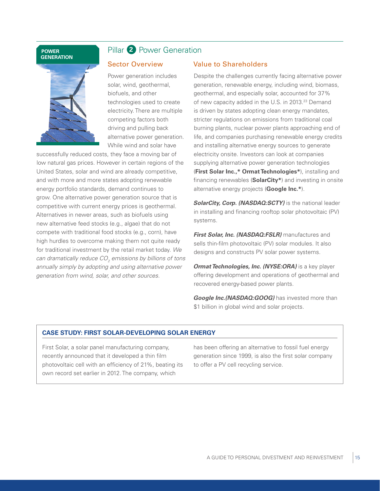#### **POWER GENERATION**



### Pillar **2** Power Generation

#### Sector Overview

Power generation includes solar, wind, geothermal, biofuels, and other technologies used to create electricity. There are multiple competing factors both driving and pulling back alternative power generation. While wind and solar have

successfully reduced costs, they face a moving bar of low natural gas prices. However in certain regions of the United States, solar and wind are already competitive, and with more and more states adopting renewable energy portfolio standards, demand continues to grow. One alternative power generation source that is competitive with current energy prices is geothermal. Alternatives in newer areas, such as biofuels using new alternative feed stocks (e.g., algae) that do not compete with traditional food stocks (e.g., corn), have high hurdles to overcome making them not quite ready for traditional investment by the retail market today. *We can dramatically reduce CO2 emissions by billions of tons annually simply by adopting and using alternative power generation from wind, solar, and other sources.*

#### Value to Shareholders

Despite the challenges currently facing alternative power generation, renewable energy, including wind, biomass, geothermal, and especially solar, accounted for 37% of new capacity added in the U.S. in 2013.<sup>23</sup> Demand is driven by states adopting clean energy mandates, stricter regulations on emissions from traditional coal burning plants, nuclear power plants approaching end of life, and companies purchasing renewable energy credits and installing alternative energy sources to generate electricity onsite. Investors can look at companies supplying alternative power generation technologies (**First Solar Inc.,\* Ormat Technologies\***), installing and financing renewables (**SolarCity\***) and investing in onsite alternative energy projects (**Google Inc.\***).

**SolarCity, Corp. (NASDAQ:SCTY)** is the national leader in installing and financing rooftop solar photovoltaic (PV) systems.

*First Solar, Inc. (NASDAQ:FSLR)* manufactures and sells thin-film photovoltaic (PV) solar modules. It also designs and constructs PV solar power systems.

*Ormat Technologies, Inc. (NYSE:ORA)* is a key player offering development and operations of geothermal and recovered energy-based power plants.

*Google Inc.(NASDAQ:GOOG)* has invested more than \$1 billion in global wind and solar projects.

#### **CASE STUDY: FIRST SOLAR-DEVELOPING SOLAR ENERGY**

First Solar, a solar panel manufacturing company, recently announced that it developed a thin film photovoltaic cell with an efficiency of 21%, beating its own record set earlier in 2012. The company, which

has been offering an alternative to fossil fuel energy generation since 1999, is also the first solar company to offer a PV cell recycling service.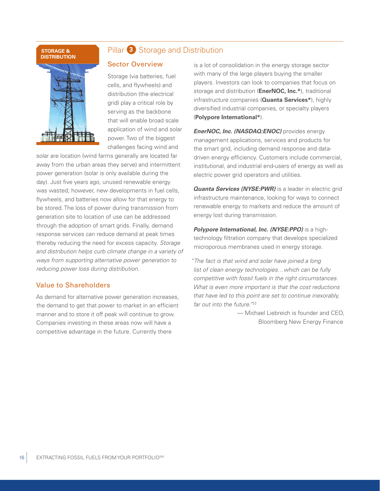#### **STORAGE & DISTRIBUTION**



### Pillar **3** Storage and Distribution

#### Sector Overview

Storage (via batteries, fuel cells, and flywheels) and distribution (the electrical grid) play a critical role by serving as the backbone that will enable broad scale application of wind and solar power. Two of the biggest challenges facing wind and

solar are location (wind farms generally are located far away from the urban areas they serve) and intermittent power generation (solar is only available during the day). Just five years ago, unused renewable energy was wasted; however, new developments in fuel cells, flywheels, and batteries now allow for that energy to be stored. The loss of power during transmission from generation site to location of use can be addressed through the adoption of smart grids. Finally, demand response services can reduce demand at peak times thereby reducing the need for excess capacity. *Storage and distribution helps curb climate change in a variety of ways from supporting alternative power generation to reducing power loss during distribution.*

#### Value to Shareholders

As demand for alternative power generation increases, the demand to get that power to market in an efficient manner and to store it off peak will continue to grow. Companies investing in these areas now will have a competitive advantage in the future. Currently there

is a lot of consolidation in the energy storage sector with many of the large players buying the smaller players. Investors can look to companies that focus on storage and distribution (**EnerNOC, Inc.\***), traditional infrastructure companies (**Quanta Services\***), highly diversified industrial companies, or specialty players (**Polypore International\***).

*EnerNOC, Inc. (NASDAQ:ENOC)* provides energy management applications, services and products for the smart grid, including demand response and datadriven energy efficiency. Customers include commercial, institutional, and industrial end-users of energy as well as electric power grid operators and utilities.

**Quanta Services (NYSE:PWR)** is a leader in electric grid infrastructure maintenance, looking for ways to connect renewable energy to markets and reduce the amount of energy lost during transmission.

*Polypore International, Inc. (NYSE:PPO)* is a hightechnology filtration company that develops specialized microporous membranes used in energy storage.

*"The fact is that wind and solar have joined a long list of clean energy technologies…which can be fully competitive with fossil fuels in the right circumstances. What is even more important is that the cost reductions that have led to this point are set to continue inexorably, far out into the future."*<sup>22</sup>

> — Michael Liebreich is founder and CEO, Bloomberg New Energy Finance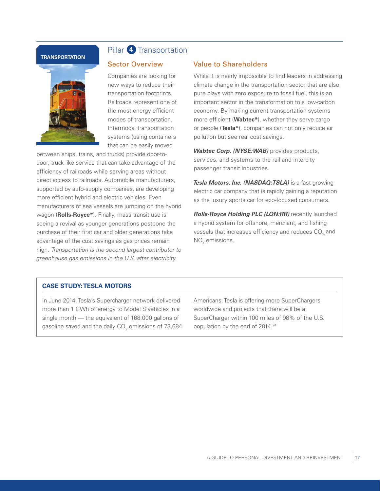#### **TRANSPORTATION**



### Pillar **4** Transportation

#### Sector Overview

Companies are looking for new ways to reduce their transportation footprints. Railroads represent one of the most energy efficient modes of transportation. Intermodal transportation systems (using containers that can be easily moved

between ships, trains, and trucks) provide door-todoor, truck-like service that can take advantage of the efficiency of railroads while serving areas without direct access to railroads. Automobile manufacturers, supported by auto-supply companies, are developing more efficient hybrid and electric vehicles. Even manufacturers of sea vessels are jumping on the hybrid wagon (**Rolls-Royce\***). Finally, mass transit use is seeing a revival as younger generations postpone the purchase of their first car and older generations take advantage of the cost savings as gas prices remain high. *Transportation is the second largest contributor to greenhouse gas emissions in the U.S. after electricity.*

#### Value to Shareholders

While it is nearly impossible to find leaders in addressing climate change in the transportation sector that are also pure plays with zero exposure to fossil fuel, this is an important sector in the transformation to a low-carbon economy. By making current transportation systems more efficient (**Wabtec\***), whether they serve cargo or people (**Tesla\***), companies can not only reduce air pollution but see real cost savings.

*Wabtec Corp. (NYSE:WAB)* provides products, services, and systems to the rail and intercity passenger transit industries.

*Tesla Motors, Inc. (NASDAQ:TSLA)* is a fast growing electric car company that is rapidly gaining a reputation as the luxury sports car for eco-focused consumers.

*Rolls-Royce Holding PLC (LON:RR)* recently launched a hybrid system for offshore, merchant, and fishing vessels that increases efficiency and reduces CO $_{\rm _2}$  and  $NO<sub>v</sub>$  emissions.

#### **CASE STUDY: TESLA MOTORS**

In June 2014, Tesla's Supercharger network delivered more than 1 GWh of energy to Model S vehicles in a single month — the equivalent of 168,000 gallons of gasoline saved and the daily CO $_{_2}$  emissions of 73,684  $\,$  Americans. Tesla is offering more SuperChargers worldwide and projects that there will be a SuperCharger within 100 miles of 98% of the U.S. population by the end of 2014.24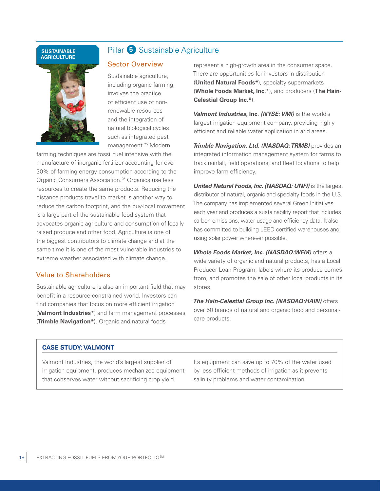#### **SUSTAINABLE AGRICULTURE**



### Pillar **5** Sustainable Agriculture

#### Sector Overview

Sustainable agriculture, including organic farming, involves the practice of efficient use of nonrenewable resources and the integration of natural biological cycles such as integrated pest management.25 Modern

farming techniques are fossil fuel intensive with the manufacture of inorganic fertilizer accounting for over 30% of farming energy consumption according to the Organic Consumers Association.26 Organics use less resources to create the same products. Reducing the distance products travel to market is another way to reduce the carbon footprint, and the buy-local movement is a large part of the sustainable food system that advocates organic agriculture and consumption of locally raised produce and other food. Agriculture is one of the biggest contributors to climate change and at the same time it is one of the most vulnerable industries to extreme weather associated with climate change.

#### Value to Shareholders

Sustainable agriculture is also an important field that may benefit in a resource-constrained world. Investors can find companies that focus on more efficient irrigation (**Valmont Industries\***) and farm management processes (**Trimble Navigation\***). Organic and natural foods

represent a high-growth area in the consumer space. There are opportunities for investors in distribution (**United Natural Foods\***), specialty supermarkets (**Whole Foods Market, Inc.\***), and producers (**The Hain-Celestial Group Inc.\***).

*Valmont Industries,* **Inc.** *(NYSE: VMI)* is the world's largest irrigation equipment company, providing highly efficient and reliable water application in arid areas.

*Trimble Navigation, Ltd. (NASDAQ: TRMB)* provides an integrated information management system for farms to track rainfall, field operations, and fleet locations to help improve farm efficiency.

*United Natural Foods, Inc. (NASDAQ: UNFI)* is the largest distributor of natural, organic and specialty foods in the U.S. The company has implemented several Green Initiatives each year and produces a sustainability report that includes carbon emissions, water usage and efficiency data. It also has committed to building LEED certified warehouses and using solar power wherever possible.

*Whole Foods Market, Inc. (NASDAQ:WFM)* offers a wide variety of organic and natural products, has a Local Producer Loan Program, labels where its produce comes from, and promotes the sale of other local products in its stores.

*The Hain-Celestial Group Inc. (NASDAQ:HAIN)* offers over 50 brands of natural and organic food and personalcare products.

#### **CASE STUDY: VALMONT**

Valmont Industries, the world's largest supplier of irrigation equipment, produces mechanized equipment that conserves water without sacrificing crop yield.

Its equipment can save up to 70% of the water used by less efficient methods of irrigation as it prevents salinity problems and water contamination.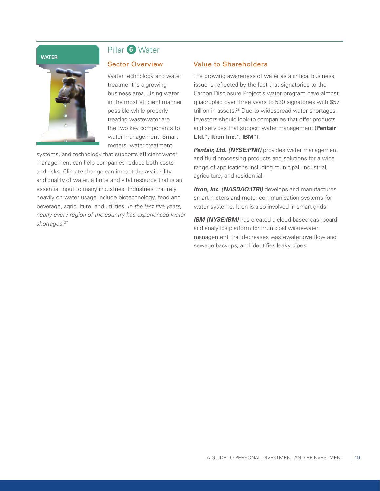#### **WATER**



## Pillar **6** Water

#### Sector Overview

Water technology and water treatment is a growing business area. Using water in the most efficient manner possible while properly treating wastewater are the two key components to water management. Smart meters, water treatment

systems, and technology that supports efficient water management can help companies reduce both costs and risks. Climate change can impact the availability and quality of water, a finite and vital resource that is an essential input to many industries. Industries that rely heavily on water usage include biotechnology, food and beverage, agriculture, and utilities. *In the last five years, nearly every region of the country has experienced water shortages.27*

#### Value to Shareholders

The growing awareness of water as a critical business issue is reflected by the fact that signatories to the Carbon Disclosure Project's water program have almost quadrupled over three years to 530 signatories with \$57 trillion in assets.<sup>28</sup> Due to widespread water shortages, investors should look to companies that offer products and services that support water management (**Pentair Ltd.**\***, Itron Inc.**\***, IBM**\*).

**Pentair, Ltd. (NYSE:PNR)** provides water management and fluid processing products and solutions for a wide range of applications including municipal, industrial, agriculture, and residential.

*Itron, Inc. (NASDAQ:ITRI)* develops and manufactures smart meters and meter communication systems for water systems. Itron is also involved in smart grids.

**IBM (NYSE:IBM)** has created a cloud-based dashboard and analytics platform for municipal wastewater management that decreases wastewater overflow and sewage backups, and identifies leaky pipes.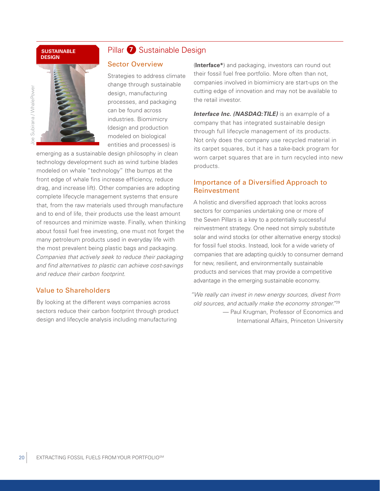#### **SUSTAINABLE DESIGN**



### Pillar **7** Sustainable Design

#### Sector Overview

Strategies to address climate change through sustainable design, manufacturing processes, and packaging can be found across industries. Biomimicry (design and production modeled on biological entities and processes) is

emerging as a sustainable design philosophy in clean technology development such as wind turbine blades modeled on whale "technology" (the bumps at the front edge of whale fins increase efficiency, reduce drag, and increase lift). Other companies are adopting complete lifecycle management systems that ensure that, from the raw materials used through manufacture and to end of life, their products use the least amount of resources and minimize waste. Finally, when thinking about fossil fuel free investing, one must not forget the many petroleum products used in everyday life with the most prevalent being plastic bags and packaging. *Companies that actively seek to reduce their packaging and find alternatives to plastic can achieve cost-savings and reduce their carbon footprint.*

### Value to Shareholders

By looking at the different ways companies across sectors reduce their carbon footprint through product design and lifecycle analysis including manufacturing

(**Interface\***) and packaging, investors can round out their fossil fuel free portfolio. More often than not, companies involved in biomimicry are start-ups on the cutting edge of innovation and may not be available to the retail investor.

*Interface Inc. (NASDAQ:TILE)* is an example of a company that has integrated sustainable design through full lifecycle management of its products. Not only does the company use recycled material in its carpet squares, but it has a take-back program for worn carpet squares that are in turn recycled into new products.

#### Importance of a Diversified Approach to Reinvestment

A holistic and diversified approach that looks across sectors for companies undertaking one or more of the Seven Pillars is a key to a potentially successful reinvestment strategy. One need not simply substitute solar and wind stocks (or other alternative energy stocks) for fossil fuel stocks. Instead, look for a wide variety of companies that are adapting quickly to consumer demand for new, resilient, and environmentally sustainable products and services that may provide a competitive advantage in the emerging sustainable economy.

*"We really can invest in new energy sources, divest from old sources, and actually make the economy stronger."*<sup>29</sup> — Paul Krugman, Professor of Economics and International Affairs, Princeton University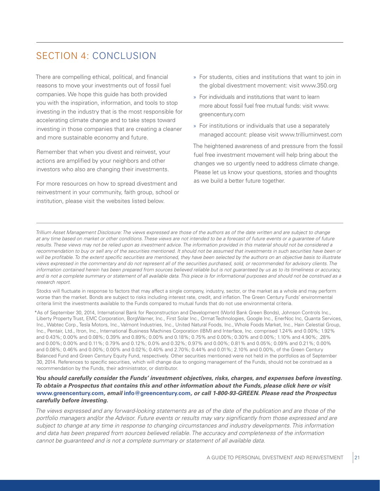## SECTION 4: CONCLUSION

There are compelling ethical, political, and financial reasons to move your investments out of fossil fuel companies. We hope this guide has both provided you with the inspiration, information, and tools to stop investing in the industry that is the most responsible for accelerating climate change and to take steps toward investing in those companies that are creating a cleaner and more sustainable economy and future.

Remember that when you divest and reinvest, your actions are amplified by your neighbors and other investors who also are changing their investments.

For more resources on how to spread divestment and reinvestment in your community, faith group, school or institution, please visit the websites listed below.

- » For students, cities and institutions that want to join in the global divestment movement: visit [www.350.org](http://greencentury.com/?xb=http://www.350.org)
- » For individuals and institutions that want to learn more about fossil fuel free mutual funds: visit [www.](http://www.greencentury.com) [greencentury.com](http://www.greencentury.com)
- » For institutions or individuals that use a separately managed account: please visit [www.trilliuminvest.com](http://greencentury.com/?xb=http://www.trilliuminvest.com)

The heightened awareness of and pressure from the fossil fuel free investment movement will help bring about the changes we so urgently need to address climate change. Please let us know your questions, stories and thoughts as we build a better future together.

*Trillium Asset Management Disclosure: The views expressed are those of the authors as of the date written and are subject to change at any time based on market or other conditions. These views are not intended to be a forecast of future events or a guarantee of future*  results. These views may not be relied upon as investment advice. The information provided in this material should not be considered a recommendation to buy or sell any of the securities mentioned. It should not be assumed that investments in such securities have been or will be profitable. To the extent specific securities are mentioned, they have been selected by the authors on an objective basis to illustrate *views expressed in the commentary and do not represent all of the securities purchased, sold, or recommended for advisory clients. The information contained herein has been prepared from sources believed reliable but is not guaranteed by us as to its timeliness or accuracy, and is not a complete summary or statement of all available data. This piece is for informational purposes and should not be construed as a research report.*

Stocks will fluctuate in response to factors that may affect a single company, industry, sector, or the market as a whole and may perform worse than the market. Bonds are subject to risks including interest rate, credit, and inflation. The Green Century Funds' environmental criteria limit the investments available to the Funds compared to mutual funds that do not use environmental criteria.

\*As of September 30, 2014, International Bank for Reconstruction and Development (World Bank Green Bonds), Johnson Controls Inc., Liberty Property Trust, EMC Corporation, BorgWarner, Inc., First Solar Inc., Ormat Technologies, Google Inc., EnerNoc Inc, Quanta Services, Inc., Wabtec Corp., Tesla Motors, Inc., Valmont Industries, Inc., United Natural Foods, Inc., Whole Foods Market, Inc., Hain Celestial Group, Inc., Pentair, Ltd., Itron, Inc., International Business Machines Corporation (IBM) and Interface, Inc. comprised 1.24% and 0.00%; 1.92% and 0.43%; 0.00% and 0.08%; 0.39% and 0.89%; 0.00% and 0.18%; 0.75% and 0.00%; 0.30% and 0.00%; 1.10% and 4.90%; .28% and 0.00%; 0.00% and 0.11%; 0.79% and 0.12%; 0.0% and 0.32%; 0.97% and 0.00%; 0.81% and 0.05%; 0.09% and 0.21%; 0.00% and 0.08%; 0.46% and 0.00%; 0.00% and 0.02%; 0.40% and 2.70%; 0.44% and 0.01%; 2.10% and 0.00%, of the Green Century Balanced Fund and Green Century Equity Fund, respectively. Other securities mentioned were not held in the portfolios as of September 30, 2014. References to specific securities, which will change due to ongoing management of the Funds, should not be construed as a recommendation by the Funds, their administrator, or distributor.

#### *You should carefully consider the Funds' investment objectives, risks, charges, and expenses before investing. To obtain a Prospectus that contains this and other information about the Funds, please click here or visit*  **[www.greencentury.com](http://www.greencentury.com)***, email* **[info@greencentury.com](mailto:info@greencentury.com)***, or call 1-800-93-GREEN. Please read the Prospectus carefully before investing.*

*The views expressed and any forward-looking statements are as of the date of the publication and are those of the portfolio managers and/or the Advisor. Future events or results may vary significantly from those expressed and are subject to change at any time in response to changing circumstances and industry developments. This information and data has been prepared from sources believed reliable. The accuracy and completeness of the information cannot be guaranteed and is not a complete summary or statement of all available data.*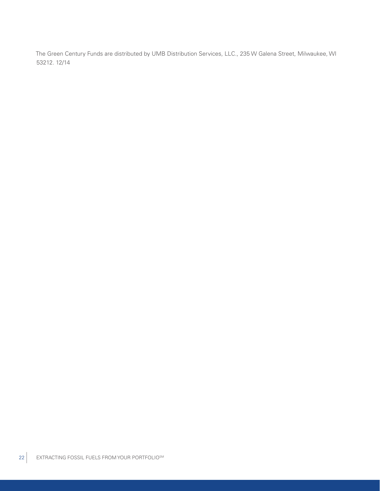The Green Century Funds are distributed by UMB Distribution Services, LLC., 235 W Galena Street, Milwaukee, WI 53212. 12/14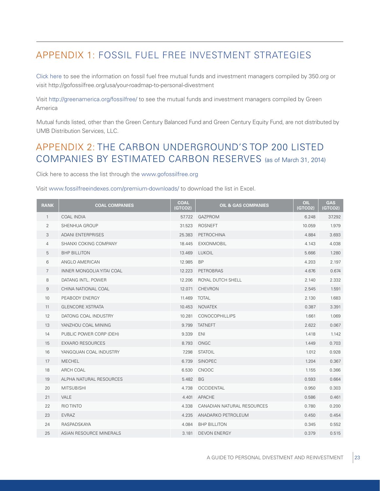## APPENDIX 1: FOSSIL FUEL FREE INVESTMENT STRATEGIES

[Click here](http://greencentury.com/?xb=http://gofossilfree.org/usa/your-roadmap-to-personal-divestment/) to see the information on fossil fuel free mutual funds and investment managers compiled by [350.org](http://greencentury.com/?xb=http://350.org) or visit [http://gofossilfree.org/usa/your-](http://greencentury.com/?xb=http://gofossilfree.org/usa/your)roadmap-to-personal-divestment

Visit [http://greenamerica.org/fossilfree/](http://greencentury.com/?xb=http://www.greenamerica.org/fossilfree/) to see the mutual funds and investment managers compiled by Green America

Mutual funds listed, other than the Green Century Balanced Fund and Green Century Equity Fund, are not distributed by UMB Distribution Services, LLC.

## APPENDIX 2: THE CARBON UNDERGROUND'S TOP 200 LISTED COMPANIES BY ESTIMATED CARBON RESERVES (as of March 31, 2014)

Click here to access the list through the [www.gofossilfree.org](http://greencentury.com/?xb=http://www.gofossilfree.org)

#### Visit [www.fossilfreeindexes.com/premium-downloads/](http://greencentury.com/?xb=http://www.fossilfreeindexes.com/premium-downloads/) to download the list in Excel.

| <b>RANK</b>     | <b>COAL COMPANIES</b>          | <b>COAL</b><br>(GTCO2) | <b>OIL &amp; GAS COMPANIES</b> | OIL<br>(GTCO2) | <b>GAS</b><br>(GTCO2) |
|-----------------|--------------------------------|------------------------|--------------------------------|----------------|-----------------------|
| $\mathbf{1}$    | <b>COAL INDIA</b>              | 57.722                 | <b>GAZPROM</b>                 | 6.248          | 37.292                |
| $\overline{2}$  | <b>SHENHUA GROUP</b>           | 31.523                 | <b>ROSNEFT</b>                 | 10.059         | 1.979                 |
| 3               | <b>ADANI ENTERPRISES</b>       | 25.383                 | PETROCHINA                     | 4.884          | 3.693                 |
| 4               | SHANXI COKING COMPANY          | 18.445                 | <b>EXXONMOBIL</b>              | 4.143          | 4.038                 |
| 5               | <b>BHP BILLITON</b>            | 13.469                 | <b>LUKOIL</b>                  | 5.666          | 1.280                 |
| 6               | ANGLO AMERICAN                 | 12.985                 | <b>BP</b>                      | 4.203          | 2.197                 |
| 7               | INNER MONGOLIA YITAI COAL      | 12.223                 | <b>PETROBRAS</b>               | 4.676          | 0.674                 |
| 8               | DATANG INTL. POWER             | 12.206                 | ROYAL DUTCH SHELL              | 2.140          | 2.332                 |
| 9               | CHINA NATIONAL COAL            | 12.071                 | <b>CHEVRON</b>                 | 2.545          | 1.591                 |
| 10 <sup>°</sup> | PEABODY ENERGY                 | 11.469                 | <b>TOTAL</b>                   | 2.130          | 1.683                 |
| 11              | <b>GLENCORE XSTRATA</b>        | 10.453                 | <b>NOVATEK</b>                 | 0.387          | 3.391                 |
| 12              | DATONG COAL INDUSTRY           | 10.281                 | <b>CONOCOPHILLIPS</b>          | 1.661          | 1.069                 |
| 13              | YANZHOU COAL MINING            | 9.799                  | <b>TATNEFT</b>                 | 2.622          | 0.067                 |
| 14              | PUBLIC POWER CORP (DEH)        | 9.339                  | ENI                            | 1.418          | 1.142                 |
| 15              | <b>EXXARO RESOURCES</b>        | 8.793                  | ONGC                           | 1.449          | 0.703                 |
| 16              | YANGQUAN COAL INDUSTRY         | 7.298                  | <b>STATOIL</b>                 | 1.012          | 0.928                 |
| 17              | <b>MECHEL</b>                  | 6.739                  | SINOPEC                        | 1.204          | 0.367                 |
| 18              | ARCH COAL                      | 6.530                  | <b>CNOOC</b>                   | 1.155          | 0.366                 |
| 19              | ALPHA NATURAL RESOURCES        | 5.482                  | <b>BG</b>                      | 0.593          | 0.664                 |
| 20              | <b>MITSUBISHI</b>              | 4.738                  | <b>OCCIDENTAL</b>              | 0.950          | 0.303                 |
| 21              | <b>VALE</b>                    | 4.401                  | <b>APACHE</b>                  | 0.586          | 0.461                 |
| 22              | <b>RIO TINTO</b>               | 4.338                  | CANADIAN NATURAL RESOURCES     | 0.780          | 0.200                 |
| 23              | <b>EVRAZ</b>                   | 4.235                  | ANADARKO PETROLEUM             | 0.450          | 0.454                 |
| 24              | RASPADSKAYA                    | 4.084                  | <b>BHP BILLITON</b>            | 0.345          | 0.552                 |
| 25              | <b>ASIAN RESOURCE MINERALS</b> | 3.181                  | <b>DEVON ENERGY</b>            | 0.379          | 0.515                 |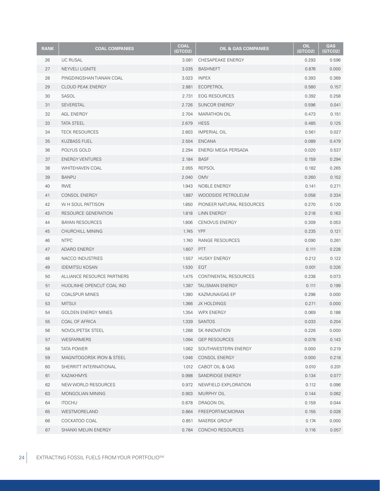| <b>RANK</b> | <b>COAL COMPANIES</b>      | <b>COAL</b><br><b>GTCO2)</b> | <b>OIL &amp; GAS COMPANIES</b> | OIL<br>(GTCO2) | <b>GAS</b><br>(GTCO2) |
|-------------|----------------------------|------------------------------|--------------------------------|----------------|-----------------------|
| 26          | <b>UC RUSAL</b>            | 3.081                        | CHESAPEAKE ENERGY              | 0.293          | 0.596                 |
| 27          | NEYVELI LIGNITE            | 3.035                        | <b>BASHNEFT</b>                | 0.876          | 0.000                 |
| 28          | PINGDINGSHAN TIANAN COAL   | 3.023                        | <b>INPEX</b>                   | 0.393          | 0.369                 |
| 29          | <b>CLOUD PEAK ENERGY</b>   | 2.881                        | ECOPETROL                      | 0.580          | 0.157                 |
| 30          | SASOL                      | 2.731                        | <b>EOG RESOURCES</b>           | 0.392          | 0.258                 |
| 31          | <b>SEVERSTAL</b>           | 2.726                        | <b>SUNCOR ENERGY</b>           | 0.596          | 0.041                 |
| 32          | AGL ENERGY                 | 2.704                        | <b>MARATHON OIL</b>            | 0.473          | 0.151                 |
| 33          | <b>TATA STEEL</b>          | 2.679                        | <b>HESS</b>                    | 0.485          | 0.125                 |
| 34          | <b>TECK RESOURCES</b>      | 2.603                        | <b>IMPERIAL OIL</b>            | 0.561          | 0.027                 |
| 35          | <b>KUZBASS FUEL</b>        | 2.504                        | <b>ENCANA</b>                  | 0.089          | 0.479                 |
| 36          | POLYUS GOLD                | 2.294                        | ENERGI MEGA PERSADA            | 0.020          | 0.537                 |
| 37          | <b>ENERGY VENTURES</b>     | 2.184                        | <b>BASF</b>                    | 0.159          | 0.294                 |
| 38          | <b>WHITEHAVEN COAL</b>     | 2.055                        | REPSOL                         | 0.182          | 0.265                 |
| 39          | <b>BANPU</b>               | 2.040                        | <b>OMV</b>                     | 0.260          | 0.152                 |
| 40          | <b>RWE</b>                 | 1.943                        | NOBLE ENERGY                   | 0.141          | 0.271                 |
| 41          | <b>CONSOL ENERGY</b>       | 1.887                        | WOODSIDE PETROLEUM             | 0.058          | 0.334                 |
| 42          | W H SOUL PATTISON          | 1.850                        | PIONEER NATURAL RESOURCES      | 0.270          | 0.120                 |
| 43          | RESOURCE GENERATION        | 1.818                        | LINN ENERGY                    | 0.218          | 0.163                 |
| 44          | <b>BAYAN RESOURCES</b>     | 1.806                        | <b>CENOVUS ENERGY</b>          | 0.309          | 0.053                 |
| 45          | CHURCHILL MINING           | 1.745                        | YPF                            | 0.235          | 0.121                 |
| 46          | <b>NTPC</b>                | 1.740                        | RANGE RESOURCES                | 0.090          | 0.261                 |
| 47          | ADARO ENERGY               | 1.607                        | <b>PTT</b>                     | 0.111          | 0.228                 |
| 48          | NACCO INDUSTRIES           | 1.557                        | <b>HUSKY ENERGY</b>            | 0.212          | 0.122                 |
| 49          | <b>IDEMITSU KOSAN</b>      | 1.530                        | EQT                            | 0.001          | 0.326                 |
| 50          | ALLIANCE RESOURCE PARTNERS | 1.475                        | CONTINENTAL RESOURCES          | 0.238          | 0.073                 |
| 51          | HUOLINHE OPENCUT COAL IND  | 1.387                        | <b>TALISMAN ENERGY</b>         | 0.111          | 0.199                 |
| 52          | <b>COALSPUR MINES</b>      | 1.380                        | KAZMUNAIGAS EP                 | 0.298          | 0.000                 |
| 53          | <b>MITSUI</b>              | 1.366                        | JX HOLDINGS                    | 0.271          | 0.000                 |
| 54          | <b>GOLDEN ENERGY MINES</b> |                              | 1.354 WPX ENERGY               | 0.069          | 0.188                 |
| 55          | COAL OF AFRICA             |                              | 1.339 SANTOS                   | 0.033          | 0.204                 |
| 56          | NOVOLIPETSK STEEL          | 1.288                        | SK INNOVATION                  | 0.226          | 0.000                 |
| 57          | <b>WESFARMERS</b>          | 1.094                        | <b>QEP RESOURCES</b>           | 0.078          | 0.143                 |
| 58          | TATA POWER                 | 1.062                        | SOUTHWESTERN ENERGY            | 0.000          | 0.219                 |
| 59          | MAGNITOGORSK IRON & STEEL  | 1.046                        | CONSOL ENERGY                  | 0.000          | 0.218                 |
| 60          | SHERRITT INTERNATIONAL     |                              | 1.012 CABOT OIL & GAS          | 0.010          | 0.201                 |
| 61          | KAZAKHMYS                  | 0.998                        | SANDRIDGE ENERGY               | 0.134          | 0.077                 |
| 62          | NEW WORLD RESOURCES        | 0.972                        | NEWFIELD EXPLORATION           | 0.112          | 0.096                 |
| 63          | <b>MONGOLIAN MINING</b>    | 0.903                        | MURPHY OIL                     | 0.144          | 0.062                 |
| 64          | <b>ITOCHU</b>              | 0.878                        | DRAGON OIL                     | 0.159          | 0.044                 |
| 65          | WESTMORELAND               | 0.864                        | FREEPORT-MCMORAN               | 0.155          | 0.028                 |
| 66          | COCKATOO COAL              | 0.851                        | MAERSK GROUP                   | 0.174          | 0.000                 |
| 67          | SHANXI MEIJIN ENERGY       |                              | 0.784 CONCHO RESOURCES         | 0.116          | 0.057                 |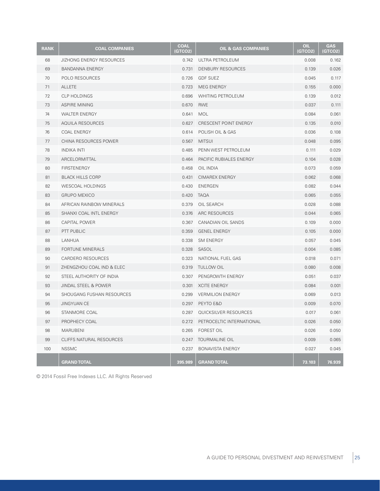| <b>RANK</b> | <b>COAL COMPANIES</b>           | <b>COAL</b><br>(GTCO2) | <b>OIL &amp; GAS COMPANIES</b> | <b>OIL</b><br>(GTCO2) | <b>GAS</b><br>(GTCO2) |
|-------------|---------------------------------|------------------------|--------------------------------|-----------------------|-----------------------|
| 68          | <b>JIZHONG ENERGY RESOURCES</b> | 0.742                  | ULTRA PETROLEUM                | 0.008                 | 0.162                 |
| 69          | <b>BANDANNA ENERGY</b>          | 0.731                  | <b>DENBURY RESOURCES</b>       | 0.139                 | 0.026                 |
| 70          | POLO RESOURCES                  | 0.726                  | <b>GDF SUEZ</b>                | 0.045                 | 0.117                 |
| 71          | <b>ALLETE</b>                   | 0.723                  | MEG ENERGY                     | 0.155                 | 0.000                 |
| 72          | CLP HOLDINGS                    | 0.696                  | WHITING PETROLEUM              | 0.139                 | 0.012                 |
| 73          | <b>ASPIRE MINING</b>            | 0.670                  | <b>RWE</b>                     | 0.037                 | 0.111                 |
| 74          | <b>WALTER ENERGY</b>            | 0.641                  | <b>MOL</b>                     | 0.084                 | 0.061                 |
| 75          | AQUILA RESOURCES                | 0.627                  | CRESCENT POINT ENERGY          | 0.135                 | 0.010                 |
| 76          | <b>COAL ENERGY</b>              | 0.614                  | POLISH OIL & GAS               | 0.036                 | 0.108                 |
| 77          | CHINA RESOURCES POWER           | 0.567                  | <b>MITSUI</b>                  | 0.048                 | 0.095                 |
| 78          | <b>INDIKA INTI</b>              | 0.485                  | PENN WEST PETROLEUM            | 0.111                 | 0.029                 |
| 79          | ARCELORMITTAL                   | 0.464                  | PACIFIC RUBIALES ENERGY        | 0.104                 | 0.028                 |
| 80          | <b>FIRSTENERGY</b>              | 0.458                  | OIL INDIA                      | 0.073                 | 0.059                 |
| 81          | <b>BLACK HILLS CORP</b>         | 0.431                  | <b>CIMAREX ENERGY</b>          | 0.062                 | 0.068                 |
| 82          | <b>WESCOAL HOLDINGS</b>         | 0.430                  | ENERGEN                        | 0.082                 | 0.044                 |
| 83          | <b>GRUPO MEXICO</b>             | 0.420                  | <b>TAQA</b>                    | 0.065                 | 0.055                 |
| 84          | AFRICAN RAINBOW MINERALS        | 0.379                  | OIL SEARCH                     | 0.028                 | 0.088                 |
| 85          | SHANXI COAL INTL ENERGY         | 0.376                  | ARC RESOURCES                  | 0.044                 | 0.065                 |
| 86          | <b>CAPITAL POWER</b>            | 0.367                  | CANADIAN OIL SANDS             | 0.109                 | 0.000                 |
| 87          | PTT PUBLIC                      | 0.359                  | <b>GENEL ENERGY</b>            | 0.105                 | 0.000                 |
| 88          | LANHUA                          | 0.338                  | SM ENERGY                      | 0.057                 | 0.045                 |
| 89          | <b>FORTUNE MINERALS</b>         | 0.328                  | SASOL                          | 0.004                 | 0.085                 |
| 90          | <b>CARDERO RESOURCES</b>        | 0.323                  | NATIONAL FUEL GAS              | 0.018                 | 0.071                 |
| 91          | ZHENGZHOU COAL IND & ELEC       | 0.319                  | <b>TULLOW OIL</b>              | 0.080                 | 0.008                 |
| 92          | STEEL AUTHORITY OF INDIA        | 0.307                  | PENGROWTH ENERGY               | 0.051                 | 0.037                 |
| 93          | <b>JINDAL STEEL &amp; POWER</b> | 0.301                  | <b>XCITE ENERGY</b>            | 0.084                 | 0.001                 |
| 94          | SHOUGANG FUSHAN RESOURCES       | 0.299                  | <b>VERMILION ENERGY</b>        | 0.069                 | 0.013                 |
| 95          | <b>JINGYUAN CE</b>              | 0.297                  | PEYTO E&D                      | 0.009                 | 0.070                 |
| 96          | STANMORE COAL                   | 0.287                  | QUICKSILVER RESOURCES          | 0.017                 | 0.061                 |
| 97          | PROPHECY COAL                   | 0.272                  | PETROCELTIC INTERNATIONAL      | 0.026                 | 0.050                 |
| 98          | <b>MARUBENI</b>                 | 0.265                  | <b>FOREST OIL</b>              | 0.026                 | 0.050                 |
| 99          | CLIFFS NATURAL RESOURCES        | 0.247                  | TOURMALINE OIL                 | 0.009                 | 0.065                 |
| 100         | <b>NSSMC</b>                    | 0.237                  | <b>BONAVISTA ENERGY</b>        | 0.027                 | 0.045                 |
|             | <b>GRAND TOTAL</b>              | 395.989                | <b>GRAND TOTAL</b>             | 73.103                | 76.939                |

© 2014 Fossil Free Indexes LLC. All Rights Reserved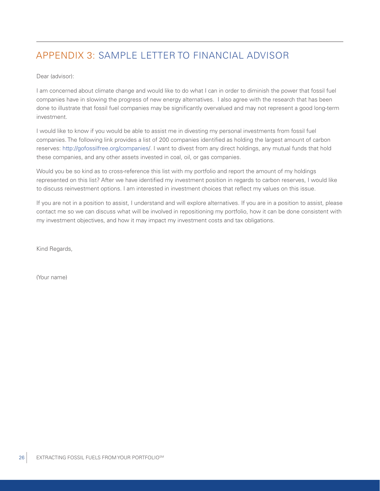## APPENDIX 3: SAMPLE LETTER TO FINANCIAL ADVISOR

Dear (advisor):

I am concerned about climate change and would like to do what I can in order to diminish the power that fossil fuel companies have in slowing the progress of new energy alternatives. I also agree with the research that has been done to illustrate that fossil fuel companies may be significantly overvalued and may not represent a good long-term investment.

I would like to know if you would be able to assist me in divesting my personal investments from fossil fuel companies. The following link provides a list of 200 companies identified as holding the largest amount of carbon reserves: [http://gofossilfree.org/companies](http://greencentury.com/?xb=http://gofossilfree.org/companies)/. I want to divest from any direct holdings, any mutual funds that hold these companies, and any other assets invested in coal, oil, or gas companies.

Would you be so kind as to cross-reference this list with my portfolio and report the amount of my holdings represented on this list? After we have identified my investment position in regards to carbon reserves, I would like to discuss reinvestment options. I am interested in investment choices that reflect my values on this issue.

If you are not in a position to assist, I understand and will explore alternatives. If you are in a position to assist, please contact me so we can discuss what will be involved in repositioning my portfolio, how it can be done consistent with my investment objectives, and how it may impact my investment costs and tax obligations.

Kind Regards,

(Your name)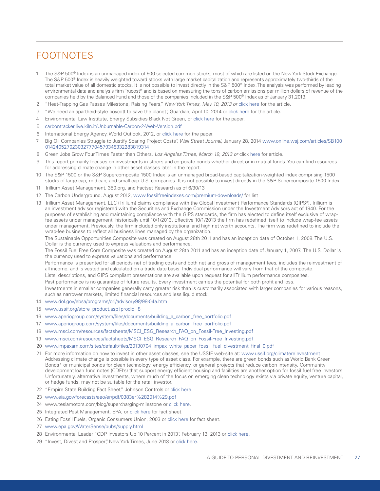## FOOTNOTES

- 1 The S&P 500® Index is an unmanaged index of 500 selected common stocks, most of which are listed on the New York Stock Exchange. The S&P 500® Index is heavily weighted toward stocks with large market capitalization and represents approximately two-thirds of the total market value of all domestic stocks. It is not possible to invest directly in the S&P 500® Index. The analysis was performed by leading environmental data and analysis firm Trucost® and is based on measuring the tons of carbon emissions per million dollars of revenue of the companies held by the Balanced Fund and those of the companies included in the S&P 500® Index as of January 31,2013.
- 2 "Heat-Trapping Gas Passes Milestone, Raising Fears," *New York Times, May 10, 2013 or* [click here](http://greencentury.com/?xb=http://www.nytimes.com/2013/05/11/science/earth/carbon-dioxide-level-passes-long-feared-milestone.html?pagewanted=all&_r=2&) for the article.
- 3 "We need an apartheid-style boycott to save the planet", Guardian, April 10, 2014 or [click here](http://greencentury.com/?xb=http://www.theguardian.com/commentisfree/2014/apr/10/divest-fossil-fuels-climate-change-keystone-xl) for the article.
- 4 Environmental Law Institute, Energy Subsidies Black Not Green, or [click here](http://greencentury.com/?xb=http://www.eli.org/sites/default/files/docs/Energy_Subsidies_Black_Not_Green.pdf) for the paper.
- 5 [carbontracker.live.kiln.it/Unburnable-Carbon-2-Web-Version.pdf](http://greencentury.com/?xb=http://carbontracker.live.kiln.it/Unburnable-Carbon-2-Web-Version.pdf)
- 6 International Energy Agency, World Outlook, 2012, or [click here](http://greencentury.com/?xb=http://www.iea.org/publications/freepublications/publication/English.pdf) for the paper.
- 7 Big Oil Companies Struggle to Justify Soaring Project Costs", *Wall Street Journal*, January 28, 2014 [www.online.wsj.com/articles/SB100](http://greencentury.com/?xb=http://online.wsj.com/articles/SB10001424052702303277704579348332283819314) [01424052702303277704579348332283819314](http://greencentury.com/?xb=http://online.wsj.com/articles/SB10001424052702303277704579348332283819314)
- 8 Green Jobs Grow Four Times Faster than Others, *Los Angeles Times, March 19, 2013 or* [click here](http://greencentury.com/?xb=http://articles.latimes.com/2013/mar/19/business/la-fi-mo-green-jobs-20130319) for article.
- 9 This report primarily focuses on investments in stocks and corporate bonds whether direct or in mutual funds. You can find resources for addressing climate change in other asset classes later in the report.
- 10 The S&P 1500 or the S&P Supercomposite 1500 Index is an unmanaged broad-based capitalization-weighted index comprising 1500 stocks of large-cap, mid-cap, and small-cap U.S. companies. It is not possible to invest directly in the S&P Supercomposite 1500 Index.
- 11 Trillium Asset Management, 350.org, and Factset Research as of 6/30/13
- 12 The Carbon Underground, August 2012, [www.fossilfreeindexes.com/premium-downloads/](http://greencentury.com/?xb=http://www.fossilfreeindexes.com/premium-downloads/) for list
- 13 Trillium Asset Management, LLC (Trillium) claims compliance with the Global Investment Performance Standards (GIPS®). Trillium is an investment advisor registered with the Securities and Exchange Commission under the Investment Advisors act of 1940. For the purposes of establishing and maintaining compliance with the GIPS standards, the firm has elected to define itself exclusive of wrapfee assets under management historically until 10/1/2013. Effective 10/1/2013 the firm has redefined itself to include wrap-fee assets under management. Previously, the firm included only institutional and high net worth accounts. The firm was redefined to include the wrap-fee business to reflect all business lines managed by the organization.

The Sustainable Opportunities Composite was created on August 28th 2011 and has an inception date of October 1, 2008. The U.S. Dollar is the currency used to express valuations and performance.

The Fossil Fuel Free Core Composite was created on August 28th 2011 and has an inception date of January 1, 2007. The U.S. Dollar is the currency used to express valuations and performance.

Performance is presented for all periods net of trading costs and both net and gross of management fees, includes the reinvestment of all income, and is vested and calculated on a trade date basis. Individual performance will vary from that of the composite.

Lists, descriptions, and GIPS compliant presentations are available upon request for all Trillium performance composites.

Past performance is no guarantee of future results. Every investment carries the potential for both profit and loss.

Investments in smaller companies generally carry greater risk than is customarily associated with larger companies for various reasons, such as narrower markets, limited financial resources and less liquid stock.

- 14 [www.dol.gov/ebsa/programs/ori/advisory98/98-04a.htm](http://greencentury.com/?xb=http://www.dol.gov/ebsa/programs/ori/advisory98/98-04a.htm)
- 15 [www.ussif.org/store\\_product.asp?prodid=8](http://greencentury.com/?xb=http://www.ussif.org/store_product.asp?prodid=8)
- 16 [www.aperiogroup.com/system/files/documents/building\\_a\\_carbon\\_free\\_portfolio.pdf](http://greencentury.com/?xb=http://www.aperiogroup.com/system/files/documents/building_a_carbon_free_portfolio.pdf)
- 17 [www.aperiogroup.com/system/files/documents/building\\_a\\_carbon\\_free\\_portfolio.pdf](http://greencentury.com/?xb=http://www.aperiogroup.com/system/files/documents/building_a_carbon_free_portfolio.pdf)
- 18 [www.msci.com/resources/factsheets/MSCI\\_ESG\\_Research\\_FAQ\\_on\\_Fossil-Free\\_Investing.pdf](http://greencentury.com/?xb=http://www.msci.com/resources/factsheets/MSCI_ESG_Research_FAQ_on_Fossil-Free_Investing.pdf)
- 19 [www.msci.com/resources/factsheets/MSCI\\_ESG\\_Research\\_FAQ\\_on\\_Fossil-Free\\_Investing.pdf](http://greencentury.com/?xb=http://www.msci.com/resources/factsheets/MSCI_ESG_Research_FAQ_on_Fossil-Free_Investing.pdf)
- 20 [www.impaxam.com/sites/default/files/20130704\\_impax\\_white\\_paper\\_fossil\\_fuel\\_divestment\\_final\\_0.pdf](http://greencentury.com/?xb=http://www.impaxam.com/sites/default/files/20130704_impax_white_paper_fossil_fuel_divestment_final_0.pdf)
- 21 For more information on how to invest in other asset classes, see the USSIF web-site at: [www.ussif.org/climatereinvestment](http://greencentury.com/?xb=http://www.ussif.org/climatereinvestment) Addressing climate change is possible in every type of asset class. For example, there are green bonds such as World Bank Green Bonds\* or municipal bonds for clean technology, energy efficiency, or general projects that reduce carbon intensity. Community development loan fund notes (CDFI's) that support energy efficient housing and facilities are another option for fossil fuel free investors. Unfortunately, alternative investments, where much of the focus on emerging clean technology exists via private equity, venture capital, or hedge funds, may not be suitable for the retail investor.
- 22 "Empire State Building Fact Sheet," Johnson Controls or [click here](http://greencentury.com/?xb=http://www.johnsoncontrols.com/content/dam/WWW/jci/be/fulfillment/esb/ESBfactsheet.pdf).
- 23 [www.eia.gov/forecasts/aeo/er/pdf/0383er%282014%29.pdf](http%3a//greencentury.com/%3Fxb%3Dhttp%3a//www.eia.gov/forecasts/aeo/er/pdf/0383er%282014%29.pdf)
- 24 [www.teslamotors.com/blog/supercharging-](http://greencentury.com/?xb=http://www.teslamotors.com/blog/supercharging)milestone or [click here.](http://greencentury.com/?xb=http://www.teslamotors.com/blog/supercharging-milestone)
- 25 Integrated Pest Management, EPA, or [click here](http://greencentury.com/?xb=http://www.epa.gov/opp00001/factsheets/ipm.htm) for fact sheet.
- 26 Eating Fossil Fuels, Organic Consumers Union, 2003 or [click here](http://greencentury.com/?xb=http://www.organicconsumers.org/corp/fossil-fuels.cfm) for fact sheet.
- 27 [www.epa.gov/WaterSense/pubs/supply.html](http://greencentury.com/?xb=http://www.epa.gov/WaterSense/pubs/supply.html)
- 28 Environmental Leader "CDP Investors Up 10 Percent in 2013", February 13, 2013 or [click here.](http://greencentury.com/?xb=http://www.environmentalleader.com/2013/02/13/cdp-investors-up-10-percent-in-2013/)
- 29 "Invest, Divest and Prosper", New York Times, June 2013 or [click here](http://greencentury.com/?xb=http://www.nytimes.com/2013/06/28/opinion/krugman-invest-divest-and-prosper.html?_r=1&).